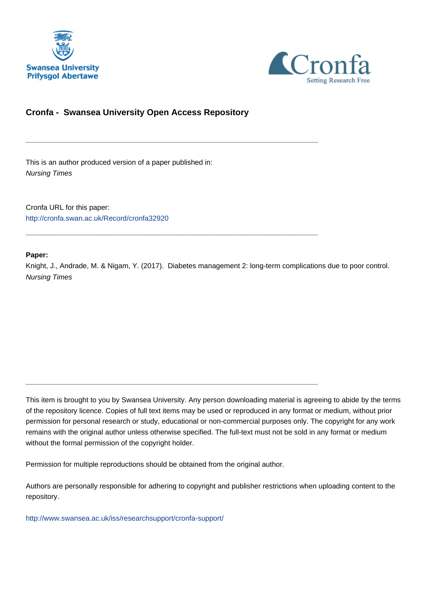



## **Cronfa - Swansea University Open Access Repository**

\_\_\_\_\_\_\_\_\_\_\_\_\_\_\_\_\_\_\_\_\_\_\_\_\_\_\_\_\_\_\_\_\_\_\_\_\_\_\_\_\_\_\_\_\_\_\_\_\_\_\_\_\_\_\_\_\_\_\_\_\_

\_\_\_\_\_\_\_\_\_\_\_\_\_\_\_\_\_\_\_\_\_\_\_\_\_\_\_\_\_\_\_\_\_\_\_\_\_\_\_\_\_\_\_\_\_\_\_\_\_\_\_\_\_\_\_\_\_\_\_\_\_

\_\_\_\_\_\_\_\_\_\_\_\_\_\_\_\_\_\_\_\_\_\_\_\_\_\_\_\_\_\_\_\_\_\_\_\_\_\_\_\_\_\_\_\_\_\_\_\_\_\_\_\_\_\_\_\_\_\_\_\_\_

This is an author produced version of a paper published in: Nursing Times

Cronfa URL for this paper: <http://cronfa.swan.ac.uk/Record/cronfa32920>

#### **Paper:**

Knight, J., Andrade, M. & Nigam, Y. (2017). Diabetes management 2: long-term complications due to poor control. Nursing Times

This item is brought to you by Swansea University. Any person downloading material is agreeing to abide by the terms of the repository licence. Copies of full text items may be used or reproduced in any format or medium, without prior permission for personal research or study, educational or non-commercial purposes only. The copyright for any work remains with the original author unless otherwise specified. The full-text must not be sold in any format or medium without the formal permission of the copyright holder.

Permission for multiple reproductions should be obtained from the original author.

Authors are personally responsible for adhering to copyright and publisher restrictions when uploading content to the repository.

[http://www.swansea.ac.uk/iss/researchsupport/cronfa-support/](http://www.swansea.ac.uk/iss/researchsupport/cronfa-support/ )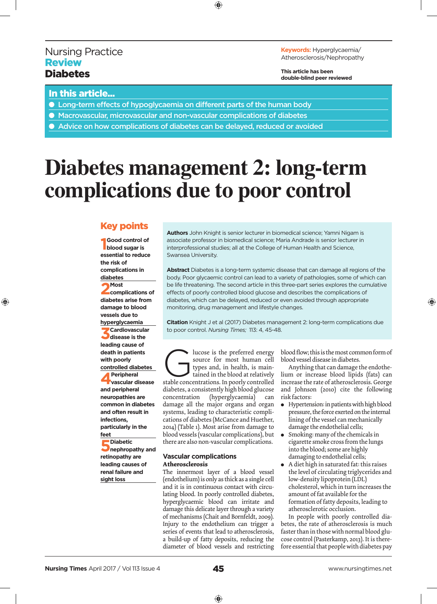## Nursing Practice **Review Diabetes**

**Keywords:** Hyperglycaemia/ Atherosclerosis/Nephropathy

**This article has been double-blind peer reviewed**

## In this article...

◈

- Long-term effects of hypoglycaemia on different parts of the human body
- Macrovascular, microvascular and non-vascular complications of diabetes
- Advice on how complications of diabetes can be delayed, reduced or avoided

## **Diabetes management 2: long-term complications due to poor control**

⊕

### Key points

**1 blood sugar is Good control of essential to reduce the risk of complications in diabetes**

**2Most complications of diabetes arise from damage to blood vessels due to hyperglycaemia 3Cardiovascular disease is the leading cause of death in patients with poorly controlled diabetes 4Peripheral vascular disease and peripheral neuropathies are common in diabetes and often result in infections, particularly in the feet**

**5**Diabetic **nephropathy and retinopathy are leading causes of renal failure and sight loss**

**Authors** John Knight is senior lecturer in biomedical science; Yamni Nigam is associate professor in biomedical science; Maria Andrade is senior lecturer in interprofessional studies; all at the College of Human Health and Science, Swansea University.

**Abstract** Diabetes is a long-term systemic disease that can damage all regions of the body. Poor glycaemic control can lead to a variety of pathologies, some of which can be life threatening. The second article in this three-part series explores the cumulative effects of poorly controlled blood glucose and describes the complications of diabetes, which can be delayed, reduced or even avoided through appropriate monitoring, drug management and lifestyle changes.

**Citation** Knight J et al (2017) Diabetes management 2: long-term complications due to poor control. *Nursing Times;* 113: 4, 45-48.

lucose is the preferred energy<br>source for most human cell<br>types and, in health, is main-<br>tained in the blood at relatively<br>stable concentrations. In poorly controlled source for most human cell types and, in health, is maintained in the blood at relatively stable concentrations. In poorly controlled diabetes, a consistently high blood glucose concentration (hyperglycaemia) can damage all the major organs and organ systems, leading to characteristic complications of diabetes (McCance and Huether, 2014) (Table 1). Most arise from damage to blood vessels (vascular complications), but there are also non-vascular complications.

#### **Vascular complications Atherosclerosis**

The innermost layer of a blood vessel (endothelium) is only as thick as a single cell and it is in continuous contact with circulating blood. In poorly controlled diabetes, hyperglycaemic blood can irritate and damage this delicate layer through a variety of mechanisms (Chait and Bornfeldt, 2009). Injury to the endothelium can trigger a series of events that lead to atherosclerosis, a build-up of fatty deposits, reducing the diameter of blood vessels and restricting blood flow; this is the most common form of blood vessel disease in diabetes.

◈

Anything that can damage the endothelium or increase blood lipids (fats) can increase the rate of atherosclerosis. George and Johnson (2010) cite the following risk factors:

- $\bullet$  Hypertension: in patients with high blood pressure, the force exerted on the internal lining of the vessel can mechanically damage the endothelial cells;
- Smoking: many of the chemicals in cigarette smoke cross from the lungs into the blood; some are highly damaging to endothelial cells;
- <sup>l</sup> A diet high in saturated fat: this raises the level of circulating triglycerides and low-density lipoprotein (LDL) cholesterol, which in turn increases the amount of fat available for the formation of fatty deposits, leading to atherosclerotic occlusion.

In people with poorly controlled diabetes, the rate of atherosclerosis is much faster than in those with normal blood glucose control (Pasterkamp, 2013). It is therefore essential that people with diabetes pay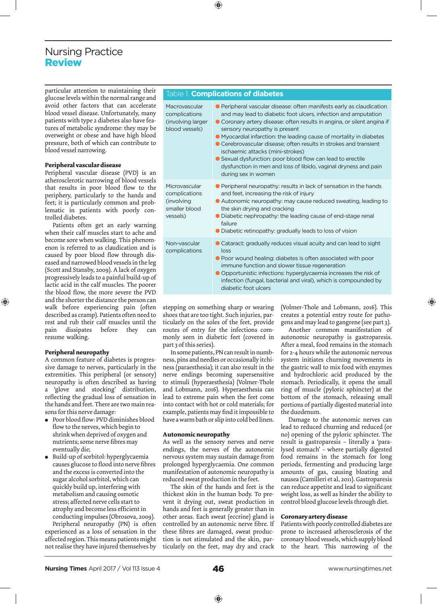## Nursing Practice Review

particular attention to maintaining their glucose levels within the normal range and avoid other factors that can accelerate blood vessel disease. Unfortunately, many patients with type 2 diabetes also have features of metabolic syndrome: they may be overweight or obese and have high blood pressure, both of which can contribute to blood vessel narrowing.

#### **Peripheral vascular disease**

Peripheral vascular disease (PVD) is an atherosclerotic narrowing of blood vessels that results in poor blood flow to the periphery, particularly to the hands and feet; it is particularly common and problematic in patients with poorly controlled diabetes.

Patients often get an early warning when their calf muscles start to ache and become sore when walking. This phenomenon is referred to as claudication and is caused by poor blood flow through diseased and narrowed blood vessels in the leg (Scott and Stansby, 2009). A lack of oxygen progressively leads to a painful build-up of lactic acid in the calf muscles. The poorer the blood flow, the more severe the PVD and the shorter the distance the person can walk before experiencing pain (often described as cramp). Patients often need to rest and rub their calf muscles until the pain dissipates before they can resume walking.

#### **Peripheral neuropathy**

⊕

A common feature of diabetes is progressive damage to nerves, particularly in the extremities. This peripheral (or sensory) neuropathy is often described as having 'glove and stocking' distribution, reflecting the gradual loss of sensation in the hands and feet. There are two main reasons for this nerve damage:

- Poor blood flow: PVD diminishes blood flow to the nerves, which begin to shrink when deprived of oxygen and nutrients; some nerve fibres may eventually die;
- Build-up of sorbitol: hyperglycaemia causes glucose to flood into nerve fibres and the excess is converted into the sugar alcohol sorbitol, which can quickly build up, interfering with metabolism and causing osmotic stress; affected nerve cells start to atrophy and become less efficient in conducting impulses (Obrosova, 2009).

Peripheral neuropathy (PN) is often experienced as a loss of sensation in the affected region. This means patients might not realise they have injured themselves by

#### Table 1. **Complications of diabetes**

⊕

Macrovascular complications (involving larger blood vessels)

Microvascular complications (involving smaller blood vessels)

Non-vascular complications

● Peripheral vascular disease: often manifests early as claudication and may lead to diabetic foot ulcers, infection and amputation ● Coronary artery disease: often results in angina, or silent angina if

- sensory neuropathy is present
- Myocardial infarction: the leading cause of mortality in diabetes ● Cerebrovascular disease; often results in strokes and transient ischaemic attacks (mini-strokes)
- Sexual dysfunction: poor blood flow can lead to erectile dysfunction in men and loss of libido, vaginal dryness and pain during sex in women
- Peripheral neuropathy: results in lack of sensation in the hands and feet, increasing the risk of injury
- Autonomic neuropathy: may cause reduced sweating, leading to the skin drying and cracking
- Diabetic nephropathy: the leading cause of end-stage renal failure
- Diabetic retinopathy: gradually leads to loss of vision
- Cataract: gradually reduces visual acuity and can lead to sight loss
- Poor wound healing: diabetes is often associated with poor immune function and slower tissue regeneration
- Opportunistic infections: hyperglycaemia increases the risk of infection (fungal, bacterial and viral), which is compounded by diabetic foot ulcers

stepping on something sharp or wearing shoes that are too tight. Such injuries, particularly on the soles of the feet, provide routes of entry for the infections commonly seen in diabetic feet (covered in part 3 of this series).

In some patients, PN can result in numbness, pins and needles or occasionally itchiness (paraesthesia); it can also result in the nerve endings becoming supersensitive to stimuli (hyperaesthesia) (Volmer-Thole and Lobmann, 2016). Hyperaesthesia can lead to extreme pain when the feet come into contact with hot or cold materials; for example, patients may find it impossible to have a warm bath or slip into cold bed linen.

#### **Autonomic neuropathy**

As well as the sensory nerves and nerve endings, the nerves of the autonomic nervous system may sustain damage from prolonged hyperglycaemia. One common manifestation of autonomic neuropathy is reduced sweat production in the feet.

The skin of the hands and feet is the thickest skin in the human body. To prevent it drying out, sweat production in hands and feet is generally greater than in other areas. Each sweat (eccrine) gland is controlled by an autonomic nerve fibre. If these fibres are damaged, sweat production is not stimulated and the skin, particularly on the feet, may dry and crack

(Volmer-Thole and Lobmann, 2016). This creates a potential entry route for pathogens and may lead to gangrene (see part 3).

⊕

Another common manifestation of autonomic neuropathy is gastroparesis. After a meal, food remains in the stomach for 2-4 hours while the autonomic nervous system initiates churning movements in the gastric wall to mix food with enzymes and hydrochloric acid produced by the stomach. Periodically, it opens the small ring of muscle (pyloric sphincter) at the bottom of the stomach, releasing small portions of partially digested material into the duodenum.

Damage to the autonomic nerves can lead to reduced churning and reduced (or no) opening of the pyloric sphincter. The result is gastroparesis – literally a 'paralysed stomach' – where partially digested food remains in the stomach for long periods, fermenting and producing large amounts of gas, causing bloating and nausea (Camilleri et al, 2011). Gastroparesis can reduce appetite and lead to significant weight loss, as well as hinder the ability to control blood glucose levels through diet.

#### **Coronary artery disease**

Patients with poorly controlled diabetes are prone to increased atherosclerosis of the coronary blood vessels, which supply blood to the heart. This narrowing of the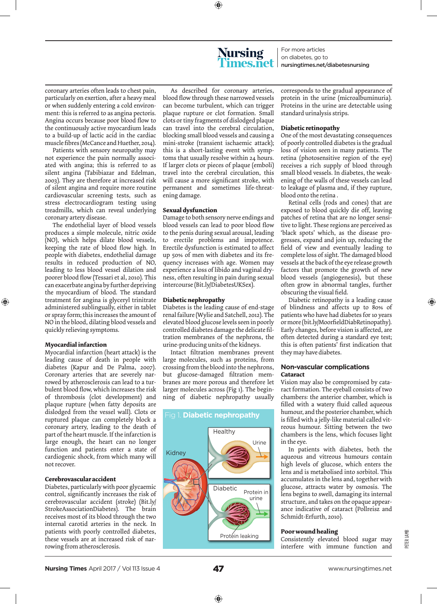⊕

# **Nursing**

For more articles on diabetes, go to nursingtimes.net/diabetesnursing

coronary arteries often leads to chest pain, particularly on exertion, after a heavy meal or when suddenly entering a cold environment: this is referred to as angina pectoris. Angina occurs because poor blood flow to the continuously active myocardium leads to a build-up of lactic acid in the cardiac muscle fibres (McCance and Huether, 2014).

Patients with sensory neuropathy may not experience the pain normally associated with angina; this is referred to as silent angina (Tabibiazar and Edelman, 2003). They are therefore at increased risk of silent angina and require more routine cardiovascular screening tests, such as stress electrocardiogram testing using treadmills, which can reveal underlying coronary artery disease.

The endothelial layer of blood vessels produces a simple molecule, nitric oxide (NO), which helps dilate blood vessels, keeping the rate of blood flow high. In people with diabetes, endothelial damage results in reduced production of NO, leading to less blood vessel dilation and poorer blood flow (Tessari et al, 2010). This can exacerbate angina by further depriving the myocardium of blood. The standard treatment for angina is glyceryl trinitrate administered sublingually, either in tablet or spray form; this increases the amount of NO in the blood, dilating blood vessels and quickly relieving symptoms.

#### **Myocardial infarction**

◈

Myocardial infarction (heart attack) is the leading cause of death in people with diabetes (Kapur and De Palma, 2007). Coronary arteries that are severely narrowed by atherosclerosis can lead to a turbulent blood flow, which increases the risk of thrombosis (clot development) and plaque rupture (when fatty deposits are dislodged from the vessel wall). Clots or ruptured plaque can completely block a coronary artery, leading to the death of part of the heart muscle. If the infarction is large enough, the heart can no longer function and patients enter a state of cardiogenic shock, from which many will not recover.

#### **Cerebrovascular accident**

Diabetes, particularly with poor glycaemic control, significantly increases the risk of cerebrovascular accident (stroke) (Bit.ly/ StrokeAssociationDiabetes). The brain receives most of its blood through the two internal carotid arteries in the neck. In patients with poorly controlled diabetes, these vessels are at increased risk of narrowing from atherosclerosis.

As described for coronary arteries, blood flow through these narrowed vessels can become turbulent, which can trigger plaque rupture or clot formation. Small clots or tiny fragments of dislodged plaque can travel into the cerebral circulation, blocking small blood vessels and causing a mini-stroke (transient ischaemic attack); this is a short-lasting event with symptoms that usually resolve within 24 hours. If larger clots or pieces of plaque (emboli) travel into the cerebral circulation, this will cause a more significant stroke, with permanent and sometimes life-threatening damage.

#### **Sexual dysfunction**

Damage to both sensory nerve endings and blood vessels can lead to poor blood flow to the penis during sexual arousal, leading to erectile problems and impotence. Erectile dysfunction is estimated to affect up 50% of men with diabetes and its frequency increases with age. Women may experience a loss of libido and vaginal dryness, often resulting in pain during sexual intercourse (Bit.ly/DiabetesUKSex).

#### **Diabetic nephropathy**

Diabetes is the leading cause of end-stage renal failure (Wylie and Satchell, 2012). The elevated blood glucose levels seen in poorly controlled diabetes damage the delicate filtration membranes of the nephrons, the urine-producing units of the kidneys.

Intact filtration membranes prevent large molecules, such as proteins, from crossing from the blood into the nephrons, but glucose-damaged filtration membranes are more porous and therefore let larger molecules across (Fig 1). The beginning of diabetic nephropathy usually



corresponds to the gradual appearance of protein in the urine (microalbuminuria). Proteins in the urine are detectable using standard urinalysis strips.

#### **Diabetic retinopathy**

One of the most devastating consequences of poorly controlled diabetes is the gradual loss of vision seen in many patients. The retina (photosensitive region of the eye) receives a rich supply of blood through small blood vessels. In diabetes, the weakening of the walls of these vessels can lead to leakage of plasma and, if they rupture, blood onto the retina .

Retinal cells (rods and cones) that are exposed to blood quickly die off, leaving patches of retina that are no longer sensitive to light. These regions are perceived as 'black spots' which, as the disease progresses, expand and join up, reducing the field of view and eventually leading to complete loss of sight. The damaged blood vessels at the back of the eye release growth factors that promote the growth of new blood vessels (angiogenesis), but these often grow in abnormal tangles, further obscuring the visual field.

Diabetic retinopathy is a leading cause of blindness and affects up to 80% of patients who have had diabetes for 10 years or more (bit.ly/MoorfieldDiabRetinopathy). Early changes, before vision is affected, are often detected during a standard eye test; this is often patients' first indication that they may have diabetes.

#### **Non-vascular complications Cataract**

Vision may also be compromised by cataract formation. The eyeball consists of two chambers: the anterior chamber, which is filled with a watery fluid called aqueous humour, and the posterior chamber, which is filled with a jelly-like material called vitreous humour. Sitting between the two chambers is the lens, which focuses light in the eye.

In patients with diabetes, both the aqueous and vitreous humours contain high levels of glucose, which enters the lens and is metabolised into sorbitol. This accumulates in the lens and, together with glucose, attracts water by osmosis. The lens begins to swell, damaging its internal structure, and takes on the opaque appearance indicative of cataract (Pollreisz and Schmidt-Erfurth, 2010).

#### **Poor wound healing**

Consistently elevated blood sugar may interfere with immune function and

peter lamb

⊕